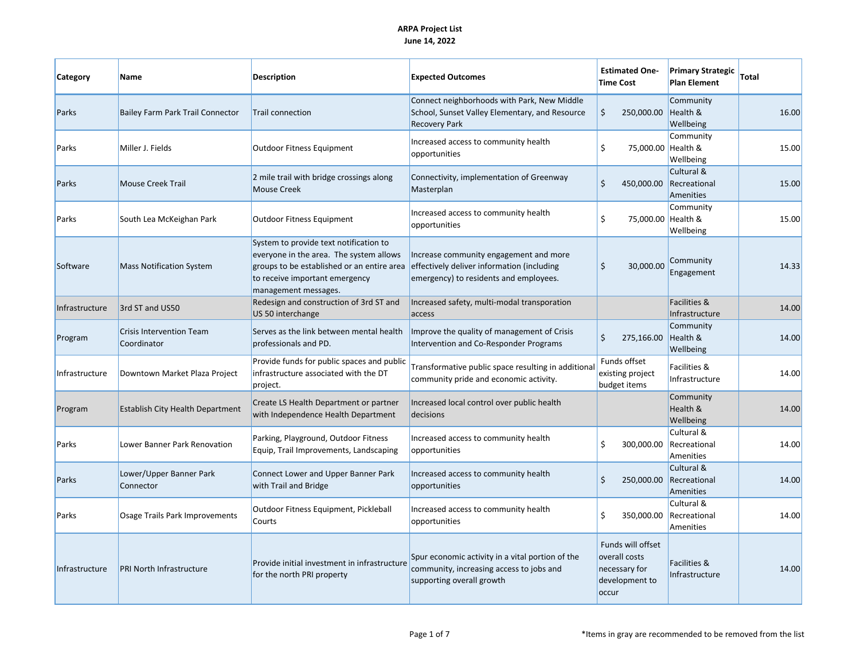| Category       | <b>Name</b>                                    | <b>Description</b>                                                                                                                                                                        | <b>Expected Outcomes</b>                                                                                                       | <b>Estimated One-</b><br><b>Time Cost</b>                                      | <b>Primary Strategic</b><br><b>Plan Element</b> | Total |
|----------------|------------------------------------------------|-------------------------------------------------------------------------------------------------------------------------------------------------------------------------------------------|--------------------------------------------------------------------------------------------------------------------------------|--------------------------------------------------------------------------------|-------------------------------------------------|-------|
| Parks          | Bailey Farm Park Trail Connector               | Trail connection                                                                                                                                                                          | Connect neighborhoods with Park, New Middle<br>School, Sunset Valley Elementary, and Resource<br><b>Recovery Park</b>          | \$<br>250,000.00                                                               | Community<br>Health &<br>Wellbeing              | 16.00 |
| Parks          | Miller J. Fields                               | Outdoor Fitness Equipment                                                                                                                                                                 | Increased access to community health<br>opportunities                                                                          | Ś.<br>75,000.00 Health &                                                       | Community<br>Wellbeing                          | 15.00 |
| Parks          | <b>Mouse Creek Trail</b>                       | 2 mile trail with bridge crossings along<br><b>Mouse Creek</b>                                                                                                                            | Connectivity, implementation of Greenway<br>Masterplan                                                                         | Ś.<br>450,000.00                                                               | Cultural &<br>Recreational<br>Amenities         | 15.00 |
| Parks          | South Lea McKeighan Park                       | Outdoor Fitness Equipment                                                                                                                                                                 | Increased access to community health<br>opportunities                                                                          | \$<br>75,000.00 Health &                                                       | Community<br>Wellbeing                          | 15.00 |
| Software       | <b>Mass Notification System</b>                | System to provide text notification to<br>everyone in the area. The system allows<br>groups to be established or an entire area<br>to receive important emergency<br>management messages. | Increase community engagement and more<br>effectively deliver information (including<br>emergency) to residents and employees. | $\mathsf{\hat{S}}$<br>30,000.00                                                | Community<br>Engagement                         | 14.33 |
| Infrastructure | 3rd ST and US50                                | Redesign and construction of 3rd ST and<br>US 50 interchange                                                                                                                              | Increased safety, multi-modal transporation<br>access                                                                          |                                                                                | <b>Facilities &amp;</b><br>Infrastructure       | 14.00 |
| Program        | <b>Crisis Intervention Team</b><br>Coordinator | Serves as the link between mental health<br>professionals and PD.                                                                                                                         | Improve the quality of management of Crisis<br>Intervention and Co-Responder Programs                                          | \$<br>275,166.00                                                               | Community<br>Health &<br>Wellbeing              | 14.00 |
| Infrastructure | Downtown Market Plaza Project                  | Provide funds for public spaces and public<br>infrastructure associated with the DT<br>project.                                                                                           | Transformative public space resulting in additional<br>community pride and economic activity.                                  | Funds offset<br>existing project<br>budget items                               | Facilities &<br>Infrastructure                  | 14.00 |
| Program        | <b>Establish City Health Department</b>        | Create LS Health Department or partner<br>with Independence Health Department                                                                                                             | Increased local control over public health<br>decisions                                                                        |                                                                                | Community<br>Health &<br>Wellbeing              | 14.00 |
| Parks          | Lower Banner Park Renovation                   | Parking, Playground, Outdoor Fitness<br>Equip, Trail Improvements, Landscaping                                                                                                            | Increased access to community health<br>opportunities                                                                          | \$<br>300,000.00                                                               | Cultural &<br>Recreational<br>Amenities         | 14.00 |
| Parks          | Lower/Upper Banner Park<br>Connector           | Connect Lower and Upper Banner Park<br>with Trail and Bridge                                                                                                                              | Increased access to community health<br>opportunities                                                                          | \$<br>250,000.00                                                               | Cultural &<br>Recreational<br>Amenities         | 14.00 |
| Parks          | Osage Trails Park Improvements                 | Outdoor Fitness Equipment, Pickleball<br>Courts                                                                                                                                           | Increased access to community health<br>opportunities                                                                          | \$<br>350,000.00                                                               | Cultural &<br>Recreational<br>Amenities         | 14.00 |
| Infrastructure | <b>PRI North Infrastructure</b>                | Provide initial investment in infrastructure<br>for the north PRI property                                                                                                                | Spur economic activity in a vital portion of the<br>community, increasing access to jobs and<br>supporting overall growth      | Funds will offset<br>overall costs<br>necessary for<br>development to<br>occur | <b>Facilities &amp;</b><br>Infrastructure       | 14.00 |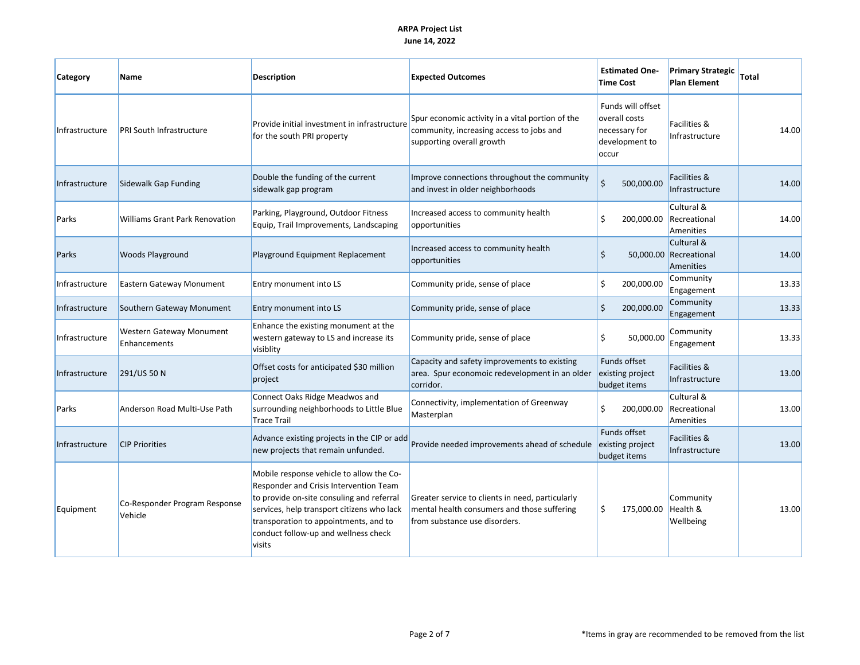| Category       | Name                                     | <b>Description</b>                                                                                                                                                                                                                                                       | <b>Expected Outcomes</b>                                                                                                         | <b>Estimated One-</b><br><b>Time Cost</b>                                      | <b>Primary Strategic</b><br><b>Plan Element</b>   | <b>Total</b> |
|----------------|------------------------------------------|--------------------------------------------------------------------------------------------------------------------------------------------------------------------------------------------------------------------------------------------------------------------------|----------------------------------------------------------------------------------------------------------------------------------|--------------------------------------------------------------------------------|---------------------------------------------------|--------------|
| Infrastructure | PRI South Infrastructure                 | Provide initial investment in infrastructure<br>for the south PRI property                                                                                                                                                                                               | Spur economic activity in a vital portion of the<br>community, increasing access to jobs and<br>supporting overall growth        | Funds will offset<br>overall costs<br>necessary for<br>development to<br>occur | Facilities &<br>Infrastructure                    | 14.00        |
| Infrastructure | Sidewalk Gap Funding                     | Double the funding of the current<br>sidewalk gap program                                                                                                                                                                                                                | Improve connections throughout the community<br>and invest in older neighborhoods                                                | Ś<br>500,000.00                                                                | Facilities &<br>Infrastructure                    | 14.00        |
| Parks          | <b>Williams Grant Park Renovation</b>    | Parking, Playground, Outdoor Fitness<br>Equip, Trail Improvements, Landscaping                                                                                                                                                                                           | Increased access to community health<br>opportunities                                                                            | Ŝ.<br>200,000.00                                                               | Cultural &<br>Recreational<br>Amenities           | 14.00        |
| Parks          | <b>Woods Playground</b>                  | Playground Equipment Replacement                                                                                                                                                                                                                                         | Increased access to community health<br>opportunities                                                                            | \$                                                                             | Cultural &<br>50,000.00 Recreational<br>Amenities | 14.00        |
| Infrastructure | Eastern Gateway Monument                 | Entry monument into LS                                                                                                                                                                                                                                                   | Community pride, sense of place                                                                                                  | \$<br>200,000.00                                                               | Community<br>Engagement                           | 13.33        |
| Infrastructure | Southern Gateway Monument                | Entry monument into LS                                                                                                                                                                                                                                                   | Community pride, sense of place                                                                                                  | $\mathsf{\dot{S}}$<br>200,000.00                                               | Community<br>Engagement                           | 13.33        |
| Infrastructure | Western Gateway Monument<br>Enhancements | Enhance the existing monument at the<br>western gateway to LS and increase its<br>visiblity                                                                                                                                                                              | Community pride, sense of place                                                                                                  | \$<br>50,000.00                                                                | Community<br>Engagement                           | 13.33        |
| Infrastructure | 291/US 50 N                              | Offset costs for anticipated \$30 million<br>project                                                                                                                                                                                                                     | Capacity and safety improvements to existing<br>area. Spur economoic redevelopment in an older<br>corridor.                      | Funds offset<br>existing project<br>budget items                               | Facilities &<br>Infrastructure                    | 13.00        |
| Parks          | Anderson Road Multi-Use Path             | Connect Oaks Ridge Meadwos and<br>surrounding neighborhoods to Little Blue<br><b>Trace Trail</b>                                                                                                                                                                         | Connectivity, implementation of Greenway<br>Masterplan                                                                           | \$<br>200,000.00                                                               | Cultural &<br>Recreational<br>Amenities           | 13.00        |
| Infrastructure | <b>CIP Priorities</b>                    | Advance existing projects in the CIP or add<br>new projects that remain unfunded.                                                                                                                                                                                        | Provide needed improvements ahead of schedule                                                                                    | Funds offset<br>existing project<br>budget items                               | <b>Facilities &amp;</b><br>Infrastructure         | 13.00        |
| Equipment      | Co-Responder Program Response<br>Vehicle | Mobile response vehicle to allow the Co-<br>Responder and Crisis Intervention Team<br>to provide on-site consuling and referral<br>services, help transport citizens who lack<br>transporation to appointments, and to<br>conduct follow-up and wellness check<br>visits | Greater service to clients in need, particularly<br>mental health consumers and those suffering<br>from substance use disorders. | \$<br>175,000.00                                                               | Community<br>Health &<br>Wellbeing                | 13.00        |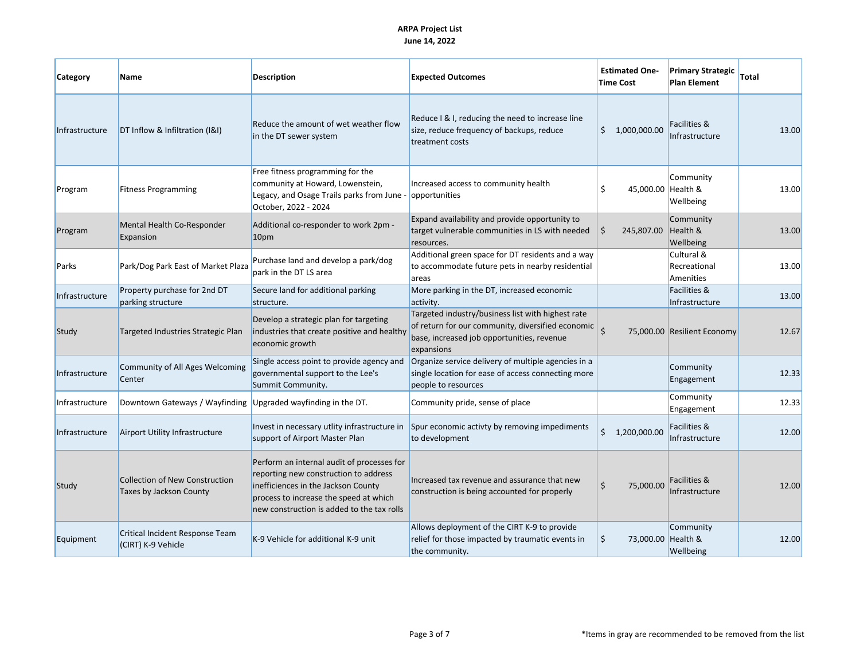| Category       | Name                                                             | <b>Description</b>                                                                                                                                                                                                 | <b>Expected Outcomes</b>                                                                                                                                           | <b>Estimated One-</b><br><b>Time Cost</b> | <b>Primary Strategic</b><br><b>Plan Element</b>  | Total |
|----------------|------------------------------------------------------------------|--------------------------------------------------------------------------------------------------------------------------------------------------------------------------------------------------------------------|--------------------------------------------------------------------------------------------------------------------------------------------------------------------|-------------------------------------------|--------------------------------------------------|-------|
| Infrastructure | DT Inflow & Infiltration (I&I)                                   | Reduce the amount of wet weather flow<br>in the DT sewer system                                                                                                                                                    | Reduce I & I, reducing the need to increase line<br>size, reduce frequency of backups, reduce<br>treatment costs                                                   | \$1,000,000.00                            | Facilities &<br>Infrastructure                   | 13.00 |
| Program        | <b>Fitness Programming</b>                                       | Free fitness programming for the<br>community at Howard, Lowenstein,<br>Legacy, and Osage Trails parks from June -<br>October, 2022 - 2024                                                                         | Increased access to community health<br>opportunities                                                                                                              | 45,000.00 Health &<br>Ś                   | Community<br>Wellbeing                           | 13.00 |
| Program        | Mental Health Co-Responder<br>Expansion                          | Additional co-responder to work 2pm -<br>10pm                                                                                                                                                                      | Expand availability and provide opportunity to<br>target vulnerable communities in LS with needed<br>resources.                                                    | Ś<br>245,807.00                           | Community<br>Health &<br>Wellbeing               | 13.00 |
| Parks          | Park/Dog Park East of Market Plaza                               | Purchase land and develop a park/dog<br>park in the DT LS area                                                                                                                                                     | Additional green space for DT residents and a way<br>to accommodate future pets in nearby residential<br>areas                                                     |                                           | Cultural &<br>Recreational<br>Amenities          | 13.00 |
| Infrastructure | Property purchase for 2nd DT<br>parking structure                | Secure land for additional parking<br>structure.                                                                                                                                                                   | More parking in the DT, increased economic<br>activity.                                                                                                            |                                           | <b>Facilities &amp;</b><br>Infrastructure        | 13.00 |
| Study          | Targeted Industries Strategic Plan                               | Develop a strategic plan for targeting<br>industries that create positive and healthy<br>economic growth                                                                                                           | Targeted industry/business list with highest rate<br>of return for our community, diversified economic<br>base, increased job opportunities, revenue<br>expansions | Ś                                         | 75,000.00 Resilient Economy                      | 12.67 |
| Infrastructure | <b>Community of All Ages Welcoming</b><br>Center                 | Single access point to provide agency and<br>governmental support to the Lee's<br>Summit Community.                                                                                                                | Organize service delivery of multiple agencies in a<br>single location for ease of access connecting more<br>people to resources                                   |                                           | Community<br>Engagement                          | 12.33 |
| Infrastructure | Downtown Gateways / Wayfinding                                   | Upgraded wayfinding in the DT.                                                                                                                                                                                     | Community pride, sense of place                                                                                                                                    |                                           | Community<br>Engagement                          | 12.33 |
| Infrastructure | Airport Utility Infrastructure                                   | Invest in necessary utlity infrastructure in<br>support of Airport Master Plan                                                                                                                                     | Spur economic activty by removing impediments<br>to development                                                                                                    | \$1,200,000.00                            | Facilities &<br>Infrastructure                   | 12.00 |
| Study          | <b>Collection of New Construction</b><br>Taxes by Jackson County | Perform an internal audit of processes for<br>reporting new construction to address<br>inefficiences in the Jackson County<br>process to increase the speed at which<br>new construction is added to the tax rolls | Increased tax revenue and assurance that new<br>construction is being accounted for properly                                                                       | \$<br>75,000.00                           | <b>Facilities &amp;</b><br><b>Infrastructure</b> | 12.00 |
| Equipment      | Critical Incident Response Team<br>(CIRT) K-9 Vehicle            | K-9 Vehicle for additional K-9 unit                                                                                                                                                                                | Allows deployment of the CIRT K-9 to provide<br>relief for those impacted by traumatic events in<br>the community.                                                 | \$<br>73,000.00 Health &                  | Community<br>Wellbeing                           | 12.00 |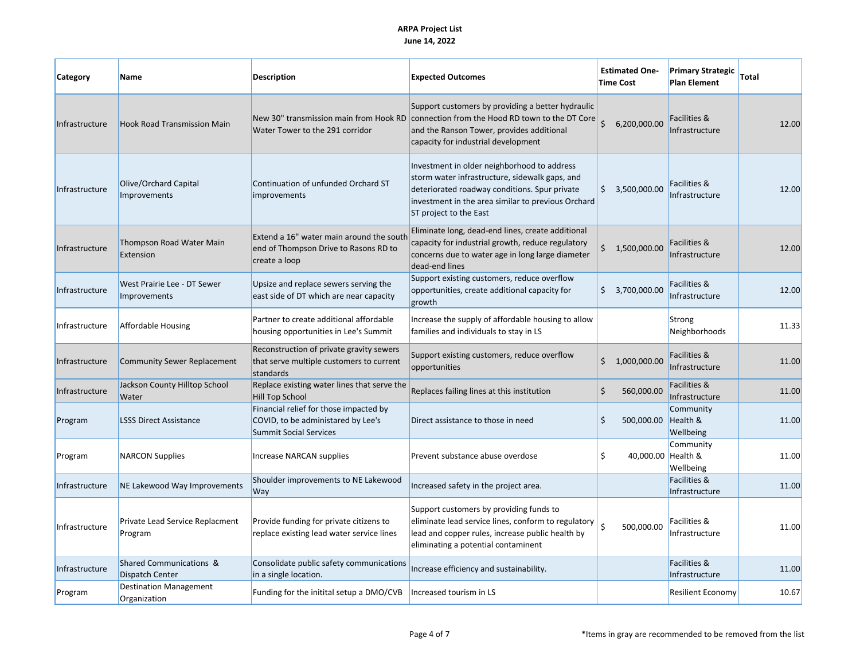| Category       | Name                                          | Description                                                                                                   | <b>Expected Outcomes</b>                                                                                                                                                                                                       | <b>Estimated One-</b><br><b>Time Cost</b> | <b>Primary Strategic</b><br><b>Plan Element</b> | <b>Total</b> |
|----------------|-----------------------------------------------|---------------------------------------------------------------------------------------------------------------|--------------------------------------------------------------------------------------------------------------------------------------------------------------------------------------------------------------------------------|-------------------------------------------|-------------------------------------------------|--------------|
| Infrastructure | <b>Hook Road Transmission Main</b>            | New 30" transmission main from Hook RD<br>Water Tower to the 291 corridor                                     | Support customers by providing a better hydraulic<br>connection from the Hood RD town to the DT Core<br>and the Ranson Tower, provides additional<br>capacity for industrial development                                       | \$<br>6,200,000.00                        | Facilities &<br>Infrastructure                  | 12.00        |
| Infrastructure | Olive/Orchard Capital<br>Improvements         | Continuation of unfunded Orchard ST<br><b>improvements</b>                                                    | Investment in older neighborhood to address<br>storm water infrastructure, sidewalk gaps, and<br>deteriorated roadway conditions. Spur private<br>investment in the area similar to previous Orchard<br>ST project to the East | \$3,500,000.00                            | <b>Facilities &amp;</b><br>Infrastructure       | 12.00        |
| Infrastructure | Thompson Road Water Main<br>Extension         | Extend a 16" water main around the south<br>end of Thompson Drive to Rasons RD to<br>create a loop            | Eliminate long, dead-end lines, create additional<br>capacity for industrial growth, reduce regulatory<br>concerns due to water age in long large diameter<br>dead-end lines                                                   | \$1,500,000.00                            | <b>Facilities &amp;</b><br>Infrastructure       | 12.00        |
| Infrastructure | West Prairie Lee - DT Sewer<br>Improvements   | Upsize and replace sewers serving the<br>east side of DT which are near capacity                              | Support existing customers, reduce overflow<br>opportunities, create additional capacity for<br>growth                                                                                                                         | \$3,700,000.00                            | Facilities &<br>Infrastructure                  | 12.00        |
| Infrastructure | <b>Affordable Housing</b>                     | Partner to create additional affordable<br>housing opportunities in Lee's Summit                              | Increase the supply of affordable housing to allow<br>families and individuals to stay in LS                                                                                                                                   |                                           | Strong<br>Neighborhoods                         | 11.33        |
| Infrastructure | <b>Community Sewer Replacement</b>            | Reconstruction of private gravity sewers<br>that serve multiple customers to current<br>standards             | Support existing customers, reduce overflow<br>opportunities                                                                                                                                                                   | Ś.<br>1,000,000.00                        | Facilities &<br>Infrastructure                  | 11.00        |
| Infrastructure | Jackson County Hilltop School<br>Water        | Replace existing water lines that serve the<br><b>Hill Top School</b>                                         | Replaces failing lines at this institution                                                                                                                                                                                     | Ś<br>560,000.00                           | Facilities &<br>Infrastructure                  | 11.00        |
| Program        | <b>LSSS Direct Assistance</b>                 | Financial relief for those impacted by<br>COVID, to be administared by Lee's<br><b>Summit Social Services</b> | Direct assistance to those in need                                                                                                                                                                                             | \$<br>500,000.00                          | Community<br>Health &<br>Wellbeing              | 11.00        |
| Program        | <b>NARCON Supplies</b>                        | Increase NARCAN supplies                                                                                      | Prevent substance abuse overdose                                                                                                                                                                                               | Ś<br>40,000.00 Health &                   | Community<br>Wellbeing                          | 11.00        |
| Infrastructure | NE Lakewood Way Improvements                  | Shoulder improvements to NE Lakewood<br>Way                                                                   | Increased safety in the project area.                                                                                                                                                                                          |                                           | <b>Facilities &amp;</b><br>Infrastructure       | 11.00        |
| Infrastructure | Private Lead Service Replacment<br>Program    | Provide funding for private citizens to<br>replace existing lead water service lines                          | Support customers by providing funds to<br>eliminate lead service lines, conform to regulatory<br>lead and copper rules, increase public health by<br>eliminating a potential contaminent                                      | 500,000.00                                | Facilities &<br>Infrastructure                  | 11.00        |
| Infrastructure | Shared Communications &<br>Dispatch Center    | Consolidate public safety communications<br>in a single location.                                             | Increase efficiency and sustainability.                                                                                                                                                                                        |                                           | <b>Facilities &amp;</b><br>Infrastructure       | 11.00        |
| Program        | <b>Destination Management</b><br>Organization | Funding for the initital setup a DMO/CVB                                                                      | Increased tourism in LS                                                                                                                                                                                                        |                                           | <b>Resilient Economy</b>                        | 10.67        |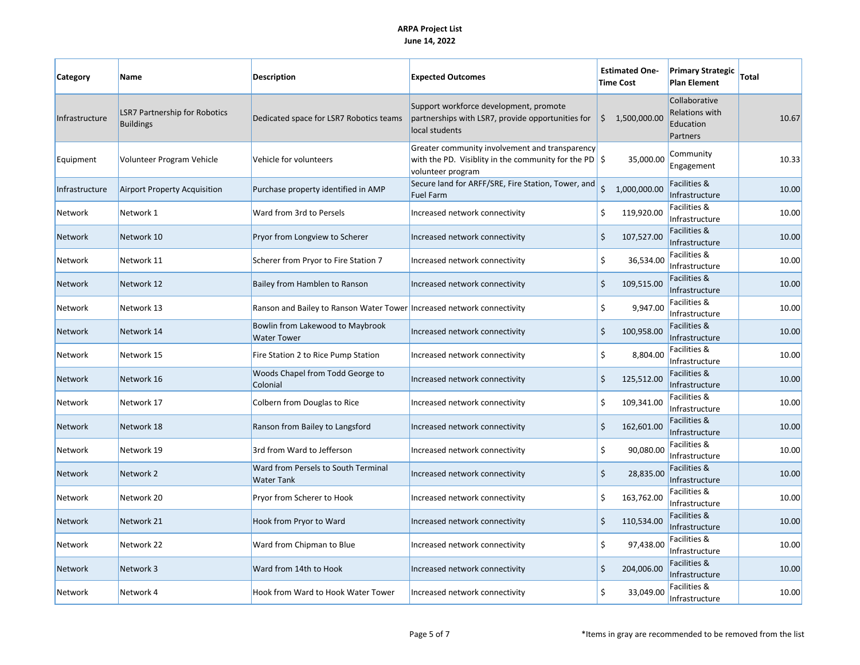| Category       | Name                                                     | Description                                                            | <b>Expected Outcomes</b>                                                                                                                | <b>Estimated One-</b><br><b>Time Cost</b>   | <b>Primary Strategic</b><br><b>Plan Element</b>                 | <b>Total</b> |
|----------------|----------------------------------------------------------|------------------------------------------------------------------------|-----------------------------------------------------------------------------------------------------------------------------------------|---------------------------------------------|-----------------------------------------------------------------|--------------|
| Infrastructure | <b>LSR7 Partnership for Robotics</b><br><b>Buildings</b> | Dedicated space for LSR7 Robotics teams                                | Support workforce development, promote<br>partnerships with LSR7, provide opportunities for<br>local students                           | \$<br>1,500,000.00                          | Collaborative<br><b>Relations with</b><br>Education<br>Partners | 10.67        |
| Equipment      | Volunteer Program Vehicle                                | Vehicle for volunteers                                                 | Greater community involvement and transparency<br>with the PD. Visiblity in the community for the PD $\frac{1}{5}$<br>volunteer program | 35,000.00                                   | Community<br>Engagement                                         | 10.33        |
| Infrastructure | <b>Airport Property Acquisition</b>                      | Purchase property identified in AMP                                    | Secure land for ARFF/SRE, Fire Station, Tower, and<br>Fuel Farm                                                                         | $\dot{\mathsf{S}}$<br>1,000,000.00          | Facilities &<br>Infrastructure                                  | 10.00        |
| Network        | Network 1                                                | Ward from 3rd to Persels                                               | Increased network connectivity                                                                                                          | \$<br>119,920.00                            | Facilities &<br>Infrastructure                                  | 10.00        |
| <b>Network</b> | Network 10                                               | Pryor from Longview to Scherer                                         | Increased network connectivity                                                                                                          | \$<br>107,527.00                            | Facilities &<br>Infrastructure                                  | 10.00        |
| Network        | Network 11                                               | Scherer from Pryor to Fire Station 7                                   | Increased network connectivity                                                                                                          | \$<br>36,534.00                             | Facilities &<br>Infrastructure                                  | 10.00        |
| <b>Network</b> | Network 12                                               | Bailey from Hamblen to Ranson                                          | Increased network connectivity                                                                                                          | \$<br>109,515.00                            | Facilities &<br>Infrastructure                                  | 10.00        |
| Network        | Network 13                                               | Ranson and Bailey to Ranson Water Tower Increased network connectivity |                                                                                                                                         | \$<br>9,947.00                              | Facilities &<br>Infrastructure                                  | 10.00        |
| <b>Network</b> | Network 14                                               | Bowlin from Lakewood to Maybrook<br><b>Water Tower</b>                 | Increased network connectivity                                                                                                          | $\zeta$<br>100,958.00                       | Facilities &<br>Infrastructure                                  | 10.00        |
| Network        | Network 15                                               | Fire Station 2 to Rice Pump Station                                    | Increased network connectivity                                                                                                          | \$<br>8,804.00                              | Facilities &<br>Infrastructure                                  | 10.00        |
| <b>Network</b> | Network 16                                               | Woods Chapel from Todd George to<br>Colonial                           | Increased network connectivity                                                                                                          | $\zeta$<br>125,512.00                       | Facilities &<br>Infrastructure                                  | 10.00        |
| Network        | Network 17                                               | Colbern from Douglas to Rice                                           | Increased network connectivity                                                                                                          | \$<br>109,341.00                            | Facilities &<br>Infrastructure                                  | 10.00        |
| <b>Network</b> | Network 18                                               | Ranson from Bailey to Langsford                                        | Increased network connectivity                                                                                                          | \$<br>162,601.00                            | Facilities &<br>Infrastructure                                  | 10.00        |
| Network        | Network 19                                               | 3rd from Ward to Jefferson                                             | Increased network connectivity                                                                                                          | \$<br>90,080.00                             | Facilities &<br>Infrastructure                                  | 10.00        |
| <b>Network</b> | Network 2                                                | Ward from Persels to South Terminal<br><b>Water Tank</b>               | Increased network connectivity                                                                                                          | $\boldsymbol{\dot{\varsigma}}$<br>28,835.00 | Facilities &<br>Infrastructure                                  | 10.00        |
| Network        | Network 20                                               | Pryor from Scherer to Hook                                             | Increased network connectivity                                                                                                          | \$<br>163,762.00                            | Facilities &<br>Infrastructure                                  | 10.00        |
| <b>Network</b> | Network 21                                               | Hook from Pryor to Ward                                                | Increased network connectivity                                                                                                          | Ś.<br>110,534.00                            | Facilities &<br>Infrastructure                                  | 10.00        |
| Network        | Network 22                                               | Ward from Chipman to Blue                                              | Increased network connectivity                                                                                                          | \$<br>97,438.00                             | Facilities &<br>Infrastructure                                  | 10.00        |
| <b>Network</b> | Network 3                                                | Ward from 14th to Hook                                                 | Increased network connectivity                                                                                                          | \$<br>204,006.00                            | Facilities &<br>Infrastructure                                  | 10.00        |
| <b>Network</b> | Network 4                                                | Hook from Ward to Hook Water Tower                                     | Increased network connectivity                                                                                                          | \$<br>33,049.00                             | Facilities &<br>Infrastructure                                  | 10.00        |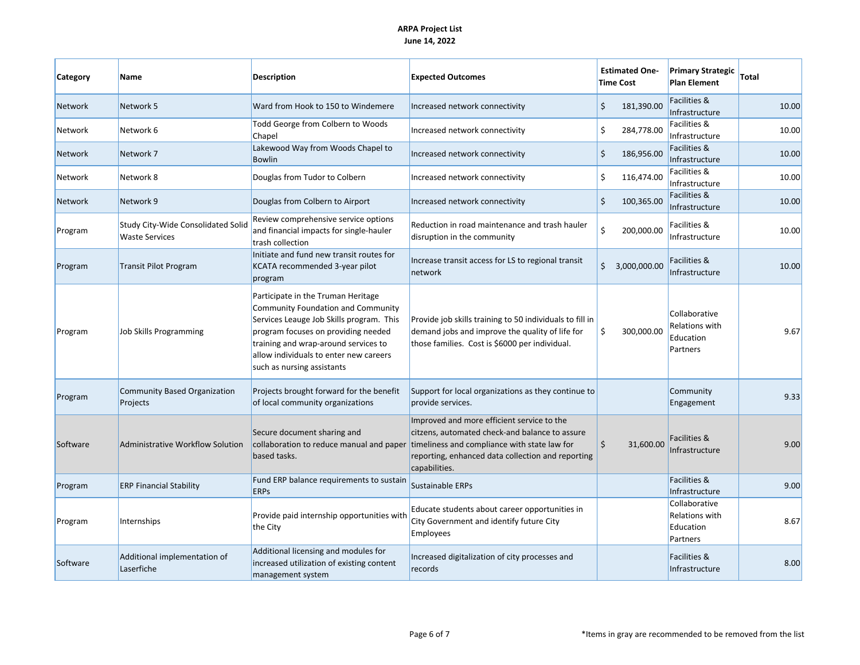| Category       | <b>Name</b>                                                 | <b>Description</b>                                                                                                                                                                                                                                                          | <b>Expected Outcomes</b>                                                                                                                                                                                           | <b>Estimated One-</b><br><b>Time Cost</b>    | <b>Primary Strategic</b><br><b>Plan Element</b>          | Total |
|----------------|-------------------------------------------------------------|-----------------------------------------------------------------------------------------------------------------------------------------------------------------------------------------------------------------------------------------------------------------------------|--------------------------------------------------------------------------------------------------------------------------------------------------------------------------------------------------------------------|----------------------------------------------|----------------------------------------------------------|-------|
| <b>Network</b> | Network 5                                                   | Ward from Hook to 150 to Windemere                                                                                                                                                                                                                                          | Increased network connectivity                                                                                                                                                                                     | $\zeta$<br>181,390.00                        | Facilities &<br>Infrastructure                           | 10.00 |
| Network        | Network 6                                                   | Todd George from Colbern to Woods<br>Chapel                                                                                                                                                                                                                                 | Increased network connectivity                                                                                                                                                                                     | \$<br>284,778.00                             | Facilities &<br>Infrastructure                           | 10.00 |
| Network        | Network 7                                                   | Lakewood Way from Woods Chapel to<br><b>Bowlin</b>                                                                                                                                                                                                                          | Increased network connectivity                                                                                                                                                                                     | $\boldsymbol{\dot{\varsigma}}$<br>186,956.00 | Facilities &<br>Infrastructure                           | 10.00 |
| <b>Network</b> | Network 8                                                   | Douglas from Tudor to Colbern                                                                                                                                                                                                                                               | Increased network connectivity                                                                                                                                                                                     | \$<br>116,474.00                             | Facilities &<br>Infrastructure                           | 10.00 |
| <b>Network</b> | Network 9                                                   | Douglas from Colbern to Airport                                                                                                                                                                                                                                             | Increased network connectivity                                                                                                                                                                                     | $\zeta$<br>100,365.00                        | Facilities &<br>Infrastructure                           | 10.00 |
| Program        | Study City-Wide Consolidated Solid<br><b>Waste Services</b> | Review comprehensive service options<br>and financial impacts for single-hauler<br>trash collection                                                                                                                                                                         | Reduction in road maintenance and trash hauler<br>disruption in the community                                                                                                                                      | \$<br>200,000.00                             | Facilities &<br>Infrastructure                           | 10.00 |
| Program        | <b>Transit Pilot Program</b>                                | Initiate and fund new transit routes for<br>KCATA recommended 3-year pilot<br>program                                                                                                                                                                                       | Increase transit access for LS to regional transit<br>network                                                                                                                                                      | \$<br>3,000,000.00                           | Facilities &<br>Infrastructure                           | 10.00 |
| Program        | Job Skills Programming                                      | Participate in the Truman Heritage<br>Community Foundation and Community<br>Services Leauge Job Skills program. This<br>program focuses on providing needed<br>training and wrap-around services to<br>allow individuals to enter new careers<br>such as nursing assistants | Provide job skills training to 50 individuals to fill in<br>demand jobs and improve the quality of life for<br>those families. Cost is \$6000 per individual.                                                      | \$<br>300,000.00                             | Collaborative<br>Relations with<br>Education<br>Partners | 9.67  |
| Program        | <b>Community Based Organization</b><br>Projects             | Projects brought forward for the benefit<br>of local community organizations                                                                                                                                                                                                | Support for local organizations as they continue to<br>provide services.                                                                                                                                           |                                              | Community<br>Engagement                                  | 9.33  |
| Software       | Administrative Workflow Solution                            | Secure document sharing and<br>collaboration to reduce manual and paper<br>based tasks.                                                                                                                                                                                     | Improved and more efficient service to the<br>citzens, automated check-and balance to assure<br>timeliness and compliance with state law for<br>reporting, enhanced data collection and reporting<br>capabilities. | \$<br>31,600.00                              | Facilities &<br>Infrastructure                           | 9.00  |
| Program        | <b>ERP Financial Stability</b>                              | Fund ERP balance requirements to sustain<br><b>ERPS</b>                                                                                                                                                                                                                     | Sustainable ERPs                                                                                                                                                                                                   |                                              | Facilities &<br>Infrastructure                           | 9.00  |
| Program        | Internships                                                 | Provide paid internship opportunities with<br>the City                                                                                                                                                                                                                      | Educate students about career opportunities in<br>City Government and identify future City<br>Employees                                                                                                            |                                              | Collaborative<br>Relations with<br>Education<br>Partners | 8.67  |
| Software       | Additional implementation of<br>Laserfiche                  | Additional licensing and modules for<br>increased utilization of existing content<br>management system                                                                                                                                                                      | Increased digitalization of city processes and<br>records                                                                                                                                                          |                                              | Facilities &<br>Infrastructure                           | 8.00  |